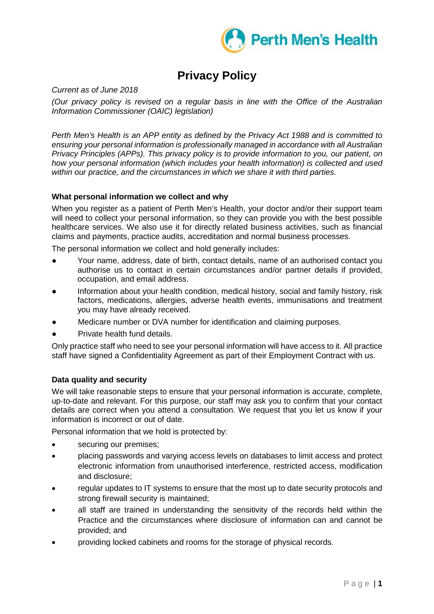

# **Privacy Policy**

*Current as of June 2018*

*(Our privacy policy is revised on a regular basis in line with the Office of the Australian Information Commissioner (OAIC) legislation)*

*Perth Men's Health is an APP entity as defined by the Privacy Act 1988 and is committed to ensuring your personal information is professionally managed in accordance with all Australian Privacy Principles (APPs). This privacy policy is to provide information to you, our patient, on how your personal information (which includes your health information) is collected and used within our practice, and the circumstances in which we share it with third parties.*

# **What personal information we collect and why**

When you register as a patient of Perth Men's Health, your doctor and/or their support team will need to collect your personal information, so they can provide you with the best possible healthcare services. We also use it for directly related business activities, such as financial claims and payments, practice audits, accreditation and normal business processes.

The personal information we collect and hold generally includes:

- Your name, address, date of birth, contact details, name of an authorised contact you authorise us to contact in certain circumstances and/or partner details if provided, occupation, and email address.
- Information about your health condition, medical history, social and family history, risk factors, medications, allergies, adverse health events, immunisations and treatment you may have already received.
- Medicare number or DVA number for identification and claiming purposes.
- Private health fund details.

Only practice staff who need to see your personal information will have access to it. All practice staff have signed a Confidentiality Agreement as part of their Employment Contract with us.

# **Data quality and security**

We will take reasonable steps to ensure that your personal information is accurate, complete, up-to-date and relevant. For this purpose, our staff may ask you to confirm that your contact details are correct when you attend a consultation. We request that you let us know if your information is incorrect or out of date.

Personal information that we hold is protected by:

- securing our premises;
- placing passwords and varying access levels on databases to limit access and protect electronic information from unauthorised interference, restricted access, modification and disclosure;
- regular updates to IT systems to ensure that the most up to date security protocols and strong firewall security is maintained;
- all staff are trained in understanding the sensitivity of the records held within the Practice and the circumstances where disclosure of information can and cannot be provided; and
- providing locked cabinets and rooms for the storage of physical records.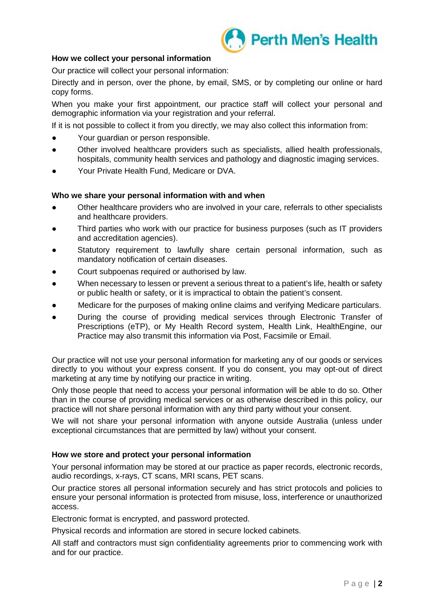

## **How we collect your personal information**

Our practice will collect your personal information:

Directly and in person, over the phone, by email, SMS, or by completing our online or hard copy forms.

When you make your first appointment, our practice staff will collect your personal and demographic information via your registration and your referral.

If it is not possible to collect it from you directly, we may also collect this information from:

- Your guardian or person responsible.
- Other involved healthcare providers such as specialists, allied health professionals, hospitals, community health services and pathology and diagnostic imaging services.
- Your Private Health Fund, Medicare or DVA.

#### **Who we share your personal information with and when**

- Other healthcare providers who are involved in your care, referrals to other specialists and healthcare providers.
- Third parties who work with our practice for business purposes (such as IT providers and accreditation agencies).
- Statutory requirement to lawfully share certain personal information, such as mandatory notification of certain diseases.
- Court subpoenas required or authorised by law.
- When necessary to lessen or prevent a serious threat to a patient's life, health or safety or public health or safety, or it is impractical to obtain the patient's consent.
- Medicare for the purposes of making online claims and verifying Medicare particulars.
- During the course of providing medical services through Electronic Transfer of Prescriptions (eTP), or My Health Record system, Health Link, HealthEngine, our Practice may also transmit this information via Post, Facsimile or Email.

Our practice will not use your personal information for marketing any of our goods or services directly to you without your express consent. If you do consent, you may opt-out of direct marketing at any time by notifying our practice in writing.

Only those people that need to access your personal information will be able to do so. Other than in the course of providing medical services or as otherwise described in this policy, our practice will not share personal information with any third party without your consent.

We will not share your personal information with anyone outside Australia (unless under exceptional circumstances that are permitted by law) without your consent.

#### **How we store and protect your personal information**

Your personal information may be stored at our practice as paper records, electronic records, audio recordings, x-rays, CT scans, MRI scans, PET scans.

Our practice stores all personal information securely and has strict protocols and policies to ensure your personal information is protected from misuse, loss, interference or unauthorized access.

Electronic format is encrypted, and password protected.

Physical records and information are stored in secure locked cabinets.

All staff and contractors must sign confidentiality agreements prior to commencing work with and for our practice.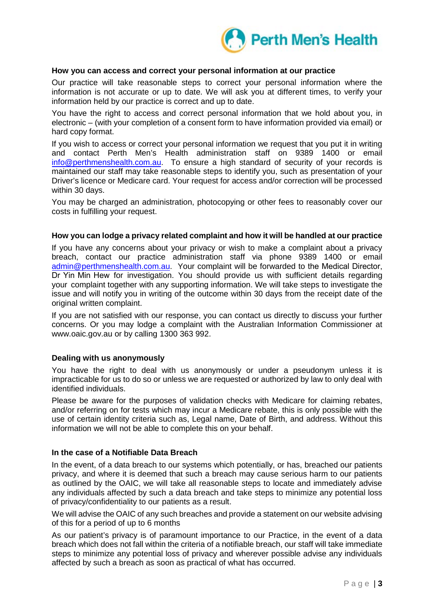

### **How you can access and correct your personal information at our practice**

Our practice will take reasonable steps to correct your personal information where the information is not accurate or up to date. We will ask you at different times, to verify your information held by our practice is correct and up to date.

You have the right to access and correct personal information that we hold about you, in electronic – (with your completion of a consent form to have information provided via email) or hard copy format.

If you wish to access or correct your personal information we request that you put it in writing and contact Perth Men's Health administration staff on 9389 1400 or email [info@perthmenshealth.com.au.](mailto:info@perthmenshealth.com.au) To ensure a high standard of security of your records is maintained our staff may take reasonable steps to identify you, such as presentation of your Driver's licence or Medicare card. Your request for access and/or correction will be processed within 30 days.

You may be charged an administration, photocopying or other fees to reasonably cover our costs in fulfilling your request.

#### **How you can lodge a privacy related complaint and how it will be handled at our practice**

If you have any concerns about your privacy or wish to make a complaint about a privacy breach, contact our practice administration staff via phone 9389 1400 or email [admin@perthmenshealth.com.au.](mailto:admin@perthmenshealth.com.au) Your complaint will be forwarded to the Medical Director, Dr Yin Min Hew for investigation. You should provide us with sufficient details regarding your complaint together with any supporting information. We will take steps to investigate the issue and will notify you in writing of the outcome within 30 days from the receipt date of the original written complaint.

If you are not satisfied with our response, you can contact us directly to discuss your further concerns. Or you may lodge a complaint with the Australian Information Commissioner at www.oaic.gov.au or by calling 1300 363 992.

#### **Dealing with us anonymously**

You have the right to deal with us anonymously or under a pseudonym unless it is impracticable for us to do so or unless we are requested or authorized by law to only deal with identified individuals.

Please be aware for the purposes of validation checks with Medicare for claiming rebates, and/or referring on for tests which may incur a Medicare rebate, this is only possible with the use of certain identity criteria such as, Legal name, Date of Birth, and address. Without this information we will not be able to complete this on your behalf.

#### **In the case of a Notifiable Data Breach**

In the event, of a data breach to our systems which potentially, or has, breached our patients privacy, and where it is deemed that such a breach may cause serious harm to our patients as outlined by the OAIC, we will take all reasonable steps to locate and immediately advise any individuals affected by such a data breach and take steps to minimize any potential loss of privacy/confidentiality to our patients as a result.

We will advise the OAIC of any such breaches and provide a statement on our website advising of this for a period of up to 6 months

As our patient's privacy is of paramount importance to our Practice, in the event of a data breach which does not fall within the criteria of a notifiable breach, our staff will take immediate steps to minimize any potential loss of privacy and wherever possible advise any individuals affected by such a breach as soon as practical of what has occurred.